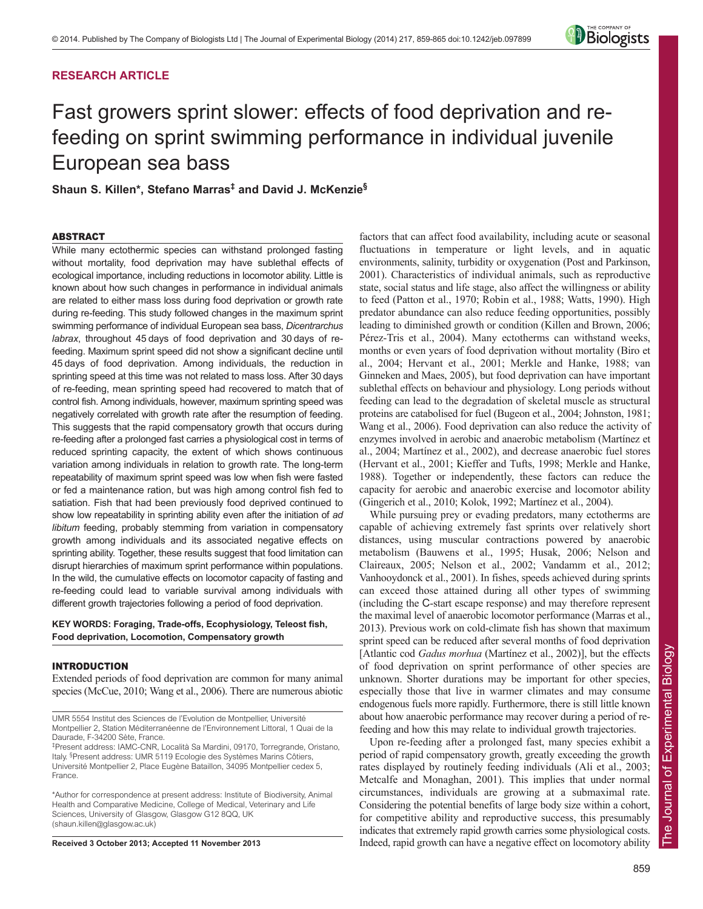# **RESEARCH ARTICLE**



# Fast growers sprint slower: effects of food deprivation and refeeding on sprint swimming performance in individual juvenile European sea bass

**Shaun S. Killen\*, Stefano Marras‡ and David J. McKenzie§**

# ABSTRACT

While many ectothermic species can withstand prolonged fasting without mortality, food deprivation may have sublethal effects of ecological importance, including reductions in locomotor ability. Little is known about how such changes in performance in individual animals are related to either mass loss during food deprivation or growth rate during re-feeding. This study followed changes in the maximum sprint swimming performance of individual European sea bass, *Dicentrarchus labrax*, throughout 45 days of food deprivation and 30 days of refeeding. Maximum sprint speed did not show a significant decline until 45 days of food deprivation. Among individuals, the reduction in sprinting speed at this time was not related to mass loss. After 30 days of re-feeding, mean sprinting speed had recovered to match that of control fish. Among individuals, however, maximum sprinting speed was negatively correlated with growth rate after the resumption of feeding. This suggests that the rapid compensatory growth that occurs during re-feeding after a prolonged fast carries a physiological cost in terms of reduced sprinting capacity, the extent of which shows continuous variation among individuals in relation to growth rate. The long-term repeatability of maximum sprint speed was low when fish were fasted or fed a maintenance ration, but was high among control fish fed to satiation. Fish that had been previously food deprived continued to show low repeatability in sprinting ability even after the initiation of *ad libitum* feeding, probably stemming from variation in compensatory growth among individuals and its associated negative effects on sprinting ability. Together, these results suggest that food limitation can disrupt hierarchies of maximum sprint performance within populations. In the wild, the cumulative effects on locomotor capacity of fasting and re-feeding could lead to variable survival among individuals with different growth trajectories following a period of food deprivation.

# **KEY WORDS: Foraging, Trade-offs, Ecophysiology, Teleost fish, Food deprivation, Locomotion, Compensatory growth**

# INTRODUCTION

Extended periods of food deprivation are common for many animal species (McCue, 2010; Wang et al., 2006). There are numerous abiotic

\*Author for correspondence at present address: Institute of Biodiversity, Animal Health and Comparative Medicine, College of Medical, Veterinary and Life Sciences, University of Glasgow, Glasgow G12 8QQ, UK (shaun.killen@glasgow.ac.uk)

**Received 3 October 2013; Accepted 11 November 2013**

factors that can affect food availability, including acute or seasonal fluctuations in temperature or light levels, and in aquatic environments, salinity, turbidity or oxygenation (Post and Parkinson, 2001). Characteristics of individual animals, such as reproductive state, social status and life stage, also affect the willingness or ability to feed (Patton et al., 1970; Robin et al., 1988; Watts, 1990). High predator abundance can also reduce feeding opportunities, possibly leading to diminished growth or condition (Killen and Brown, 2006; Pérez-Tris et al., 2004). Many ectotherms can withstand weeks, months or even years of food deprivation without mortality (Biro et al., 2004; Hervant et al., 2001; Merkle and Hanke, 1988; van Ginneken and Maes, 2005), but food deprivation can have important sublethal effects on behaviour and physiology. Long periods without feeding can lead to the degradation of skeletal muscle as structural proteins are catabolised for fuel (Bugeon et al., 2004; Johnston, 1981; Wang et al., 2006). Food deprivation can also reduce the activity of enzymes involved in aerobic and anaerobic metabolism (Martínez et al., 2004; Martínez et al., 2002), and decrease anaerobic fuel stores (Hervant et al., 2001; Kieffer and Tufts, 1998; Merkle and Hanke, 1988). Together or independently, these factors can reduce the capacity for aerobic and anaerobic exercise and locomotor ability (Gingerich et al., 2010; Kolok, 1992; Martínez et al., 2004).

While pursuing prey or evading predators, many ectotherms are capable of achieving extremely fast sprints over relatively short distances, using muscular contractions powered by anaerobic metabolism (Bauwens et al., 1995; Husak, 2006; Nelson and Claireaux, 2005; Nelson et al., 2002; Vandamm et al., 2012; Vanhooydonck et al., 2001). In fishes, speeds achieved during sprints can exceed those attained during all other types of swimming (including the C-start escape response) and may therefore represent the maximal level of anaerobic locomotor performance (Marras et al., 2013). Previous work on cold-climate fish has shown that maximum sprint speed can be reduced after several months of food deprivation [Atlantic cod *Gadus morhua* (Martínez et al., 2002)], but the effects of food deprivation on sprint performance of other species are unknown. Shorter durations may be important for other species, especially those that live in warmer climates and may consume endogenous fuels more rapidly. Furthermore, there is still little known about how anaerobic performance may recover during a period of refeeding and how this may relate to individual growth trajectories.

Upon re-feeding after a prolonged fast, many species exhibit a period of rapid compensatory growth, greatly exceeding the growth rates displayed by routinely feeding individuals (Ali et al., 2003; Metcalfe and Monaghan, 2001). This implies that under normal circumstances, individuals are growing at a submaximal rate. Considering the potential benefits of large body size within a cohort, for competitive ability and reproductive success, this presumably indicates that extremely rapid growth carries some physiological costs. Indeed, rapid growth can have a negative effect on locomotory ability

UMR 5554 Institut des Sciences de l'Evolution de Montpellier, Université Montpellier 2, Station Méditerranéenne de l'Environnement Littoral, 1 Quai de la Daurade, F-34200 Sète, France.

<sup>‡</sup> Present address: IAMC-CNR, Località Sa Mardini, 09170, Torregrande, Oristano, Italy. <sup>§</sup> Present address: UMR 5119 Ecologie des Systèmes Marins Côtiers, Université Montpellier 2, Place Eugène Bataillon, 34095 Montpellier cedex 5, France.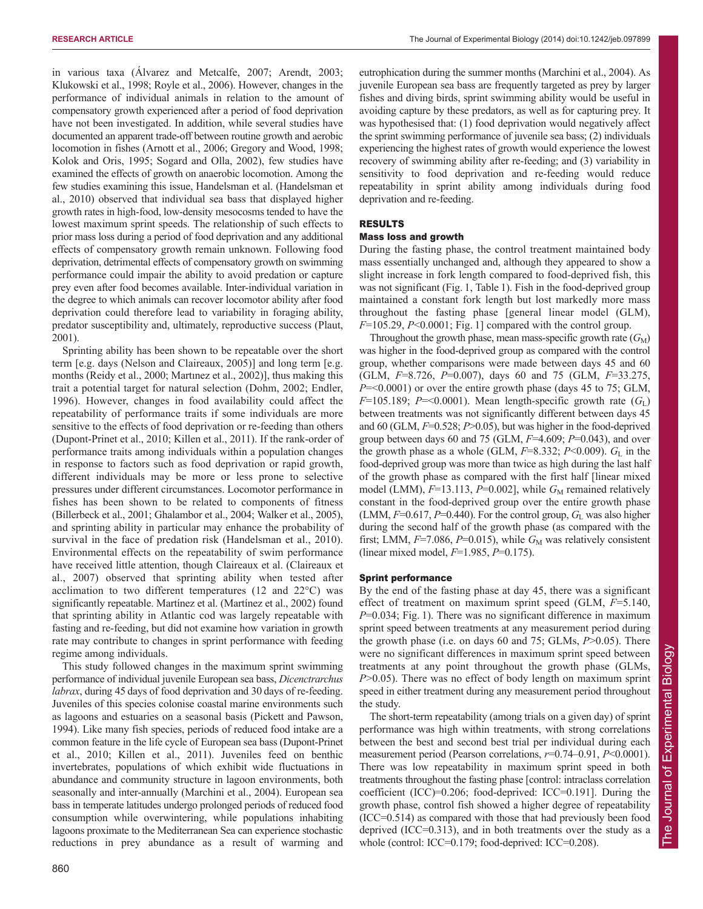in various taxa (Álvarez and Metcalfe, 2007; Arendt, 2003; Klukowski et al., 1998; Royle et al., 2006). However, changes in the performance of individual animals in relation to the amount of compensatory growth experienced after a period of food deprivation have not been investigated. In addition, while several studies have documented an apparent trade-off between routine growth and aerobic locomotion in fishes (Arnott et al., 2006; Gregory and Wood, 1998; Kolok and Oris, 1995; Sogard and Olla, 2002), few studies have examined the effects of growth on anaerobic locomotion. Among the few studies examining this issue, Handelsman et al. (Handelsman et al., 2010) observed that individual sea bass that displayed higher growth rates in high-food, low-density mesocosms tended to have the lowest maximum sprint speeds. The relationship of such effects to prior mass loss during a period of food deprivation and any additional effects of compensatory growth remain unknown. Following food deprivation, detrimental effects of compensatory growth on swimming performance could impair the ability to avoid predation or capture prey even after food becomes available. Inter-individual variation in the degree to which animals can recover locomotor ability after food deprivation could therefore lead to variability in foraging ability, predator susceptibility and, ultimately, reproductive success (Plaut, 2001).

Sprinting ability has been shown to be repeatable over the short term [e.g. days (Nelson and Claireaux, 2005)] and long term [e.g. months (Reidy et al., 2000; Martınez et al., 2002)], thus making this trait a potential target for natural selection (Dohm, 2002; Endler, 1996). However, changes in food availability could affect the repeatability of performance traits if some individuals are more sensitive to the effects of food deprivation or re-feeding than others (Dupont-Prinet et al., 2010; Killen et al., 2011). If the rank-order of performance traits among individuals within a population changes in response to factors such as food deprivation or rapid growth, different individuals may be more or less prone to selective pressures under different circumstances. Locomotor performance in fishes has been shown to be related to components of fitness (Billerbeck et al., 2001; Ghalambor et al., 2004; Walker et al., 2005), and sprinting ability in particular may enhance the probability of survival in the face of predation risk (Handelsman et al., 2010). Environmental effects on the repeatability of swim performance have received little attention, though Claireaux et al. (Claireaux et al., 2007) observed that sprinting ability when tested after acclimation to two different temperatures (12 and 22°C) was significantly repeatable. Martínez et al. (Martínez et al., 2002) found that sprinting ability in Atlantic cod was largely repeatable with fasting and re-feeding, but did not examine how variation in growth rate may contribute to changes in sprint performance with feeding regime among individuals.

This study followed changes in the maximum sprint swimming performance of individual juvenile European sea bass, *Dicenctrarchus labrax*, during 45 days of food deprivation and 30 days of re-feeding. Juveniles of this species colonise coastal marine environments such as lagoons and estuaries on a seasonal basis (Pickett and Pawson, 1994). Like many fish species, periods of reduced food intake are a common feature in the life cycle of European sea bass (Dupont-Prinet et al., 2010; Killen et al., 2011). Juveniles feed on benthic invertebrates, populations of which exhibit wide fluctuations in abundance and community structure in lagoon environments, both seasonally and inter-annually (Marchini et al., 2004). European sea bass in temperate latitudes undergo prolonged periods of reduced food consumption while overwintering, while populations inhabiting lagoons proximate to the Mediterranean Sea can experience stochastic reductions in prey abundance as a result of warming and eutrophication during the summer months (Marchini et al., 2004). As juvenile European sea bass are frequently targeted as prey by larger fishes and diving birds, sprint swimming ability would be useful in avoiding capture by these predators, as well as for capturing prey. It was hypothesised that: (1) food deprivation would negatively affect the sprint swimming performance of juvenile sea bass; (2) individuals experiencing the highest rates of growth would experience the lowest recovery of swimming ability after re-feeding; and (3) variability in sensitivity to food deprivation and re-feeding would reduce repeatability in sprint ability among individuals during food deprivation and re-feeding.

## RESULTS

# Mass loss and growth

During the fasting phase, the control treatment maintained body mass essentially unchanged and, although they appeared to show a slight increase in fork length compared to food-deprived fish, this was not significant (Fig. 1, Table 1). Fish in the food-deprived group maintained a constant fork length but lost markedly more mass throughout the fasting phase [general linear model (GLM), *F*=105.29, *P*<0.0001; Fig. 1] compared with the control group.

Throughout the growth phase, mean mass-specific growth rate  $(G_M)$ was higher in the food-deprived group as compared with the control group, whether comparisons were made between days 45 and 60 (GLM, *F*=8.726, *P*=0.007), days 60 and 75 (GLM, *F*=33.275, *P*=<0.0001) or over the entire growth phase (days 45 to 75; GLM,  $F=105.189$ ;  $P=<0.0001$ ). Mean length-specific growth rate  $(G<sub>L</sub>)$ between treatments was not significantly different between days 45 and 60 (GLM, *F*=0.528; *P*>0.05), but was higher in the food-deprived group between days 60 and 75 (GLM, *F*=4.609; *P*=0.043), and over the growth phase as a whole (GLM,  $F=8.332$ ;  $P<0.009$ ).  $G<sub>L</sub>$  in the food-deprived group was more than twice as high during the last half of the growth phase as compared with the first half [linear mixed model (LMM),  $F=13.113$ ,  $P=0.002$ ], while  $G_M$  remained relatively constant in the food-deprived group over the entire growth phase (LMM,  $F=0.617$ ,  $P=0.440$ ). For the control group,  $G<sub>L</sub>$  was also higher during the second half of the growth phase (as compared with the first; LMM,  $F=7.086$ ,  $P=0.015$ ), while  $G_M$  was relatively consistent (linear mixed model, *F*=1.985, *P*=0.175).

### Sprint performance

By the end of the fasting phase at day 45, there was a significant effect of treatment on maximum sprint speed (GLM, *F*=5.140, *P*=0.034; Fig. 1). There was no significant difference in maximum sprint speed between treatments at any measurement period during the growth phase (i.e. on days 60 and 75; GLMs, *P*>0.05). There were no significant differences in maximum sprint speed between treatments at any point throughout the growth phase (GLMs, *P*>0.05). There was no effect of body length on maximum sprint speed in either treatment during any measurement period throughout the study.

The short-term repeatability (among trials on a given day) of sprint performance was high within treatments, with strong correlations between the best and second best trial per individual during each measurement period (Pearson correlations, *r*=0.74–0.91, *P*<0.0001). There was low repeatability in maximum sprint speed in both treatments throughout the fasting phase [control: intraclass correlation coefficient (ICC)=0.206; food-deprived: ICC=0.191]. During the growth phase, control fish showed a higher degree of repeatability (ICC=0.514) as compared with those that had previously been food deprived (ICC=0.313), and in both treatments over the study as a whole (control: ICC=0.179; food-deprived: ICC=0.208).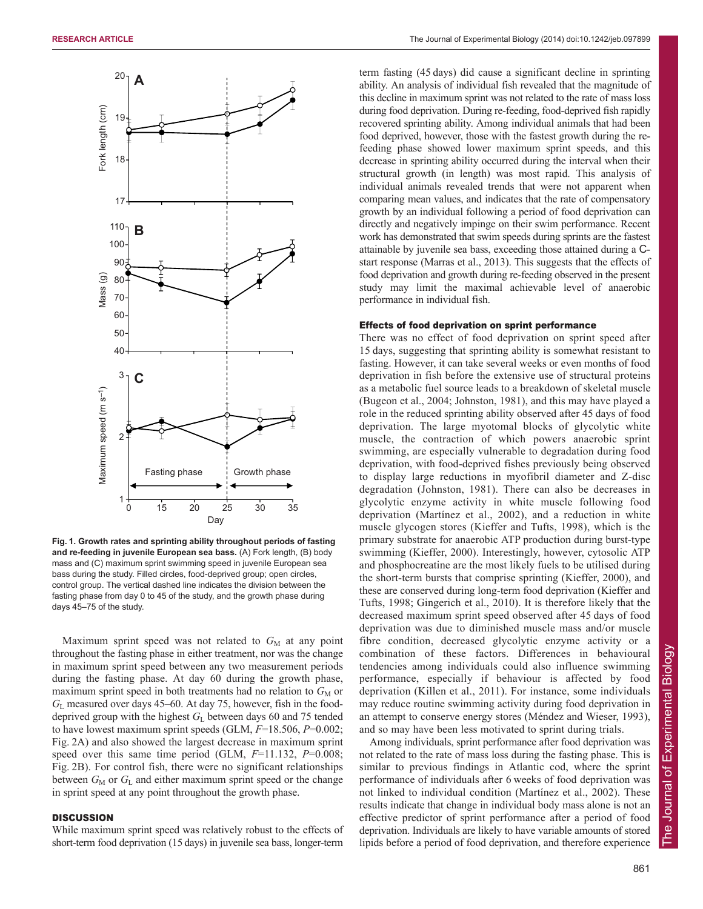

**Fig. 1. Growth rates and sprinting ability throughout periods of fasting and re-feeding in juvenile European sea bass.** (A) Fork length, (B) body mass and (C) maximum sprint swimming speed in juvenile European sea bass during the study. Filled circles, food-deprived group; open circles, control group. The vertical dashed line indicates the division between the fasting phase from day 0 to 45 of the study, and the growth phase during days 45–75 of the study.

Maximum sprint speed was not related to  $G_M$  at any point throughout the fasting phase in either treatment, nor was the change in maximum sprint speed between any two measurement periods during the fasting phase. At day 60 during the growth phase, maximum sprint speed in both treatments had no relation to  $G_M$  or *G*<sup>L</sup> measured over days 45–60. At day 75, however, fish in the fooddeprived group with the highest  $G<sub>L</sub>$  between days 60 and 75 tended to have lowest maximum sprint speeds (GLM, *F*=18.506, *P*=0.002; Fig. 2A) and also showed the largest decrease in maximum sprint speed over this same time period (GLM, *F*=11.132, *P*=0.008; Fig. 2B). For control fish, there were no significant relationships between  $G_M$  or  $G_L$  and either maximum sprint speed or the change in sprint speed at any point throughout the growth phase.

## **DISCUSSION**

While maximum sprint speed was relatively robust to the effects of short-term food deprivation (15 days) in juvenile sea bass, longer-term term fasting (45 days) did cause a significant decline in sprinting ability. An analysis of individual fish revealed that the magnitude of this decline in maximum sprint was not related to the rate of mass loss during food deprivation. During re-feeding, food-deprived fish rapidly recovered sprinting ability. Among individual animals that had been food deprived, however, those with the fastest growth during the refeeding phase showed lower maximum sprint speeds, and this decrease in sprinting ability occurred during the interval when their structural growth (in length) was most rapid. This analysis of individual animals revealed trends that were not apparent when comparing mean values, and indicates that the rate of compensatory growth by an individual following a period of food deprivation can directly and negatively impinge on their swim performance. Recent work has demonstrated that swim speeds during sprints are the fastest attainable by juvenile sea bass, exceeding those attained during a Cstart response (Marras et al., 2013). This suggests that the effects of food deprivation and growth during re-feeding observed in the present study may limit the maximal achievable level of anaerobic performance in individual fish.

## Effects of food deprivation on sprint performance

There was no effect of food deprivation on sprint speed after 15 days, suggesting that sprinting ability is somewhat resistant to fasting. However, it can take several weeks or even months of food deprivation in fish before the extensive use of structural proteins as a metabolic fuel source leads to a breakdown of skeletal muscle (Bugeon et al., 2004; Johnston, 1981), and this may have played a role in the reduced sprinting ability observed after 45 days of food deprivation. The large myotomal blocks of glycolytic white muscle, the contraction of which powers anaerobic sprint swimming, are especially vulnerable to degradation during food deprivation, with food-deprived fishes previously being observed to display large reductions in myofibril diameter and Z-disc degradation (Johnston, 1981). There can also be decreases in glycolytic enzyme activity in white muscle following food deprivation (Martínez et al., 2002), and a reduction in white muscle glycogen stores (Kieffer and Tufts, 1998), which is the primary substrate for anaerobic ATP production during burst-type swimming (Kieffer, 2000). Interestingly, however, cytosolic ATP and phosphocreatine are the most likely fuels to be utilised during the short-term bursts that comprise sprinting (Kieffer, 2000), and these are conserved during long-term food deprivation (Kieffer and Tufts, 1998; Gingerich et al., 2010). It is therefore likely that the decreased maximum sprint speed observed after 45 days of food deprivation was due to diminished muscle mass and/or muscle fibre condition, decreased glycolytic enzyme activity or a combination of these factors. Differences in behavioural tendencies among individuals could also influence swimming performance, especially if behaviour is affected by food deprivation (Killen et al., 2011). For instance, some individuals may reduce routine swimming activity during food deprivation in an attempt to conserve energy stores (Méndez and Wieser, 1993), and so may have been less motivated to sprint during trials.

Among individuals, sprint performance after food deprivation was not related to the rate of mass loss during the fasting phase. This is similar to previous findings in Atlantic cod, where the sprint performance of individuals after 6 weeks of food deprivation was not linked to individual condition (Martínez et al., 2002). These results indicate that change in individual body mass alone is not an effective predictor of sprint performance after a period of food deprivation. Individuals are likely to have variable amounts of stored lipids before a period of food deprivation, and therefore experience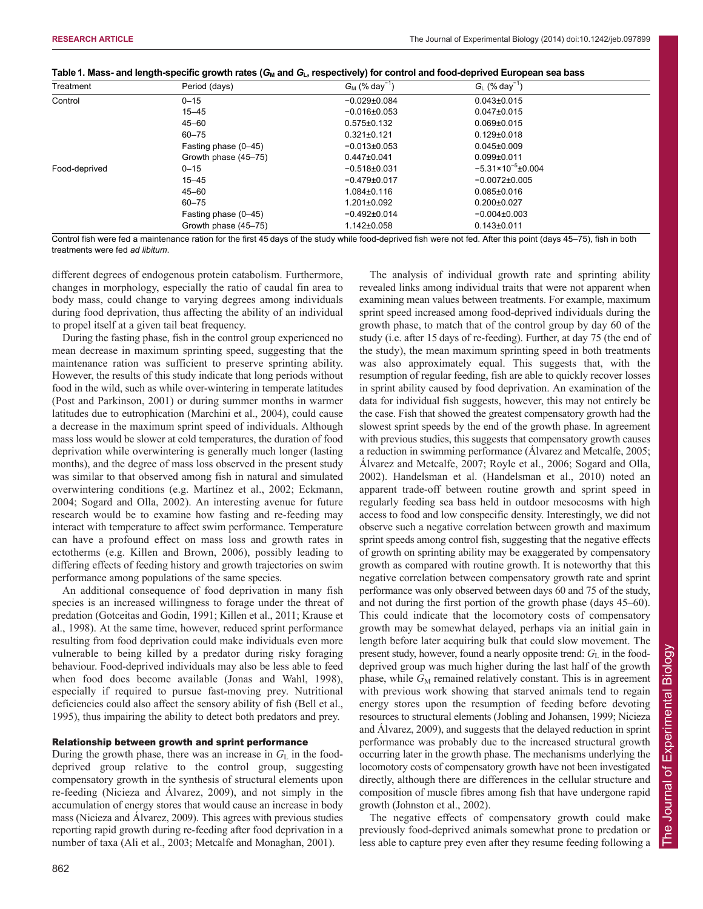| Treatment     | Period (days)        | $G_M$ (% day <sup>-1</sup> ) | $G_L$ (% day <sup>-1</sup> )     |  |
|---------------|----------------------|------------------------------|----------------------------------|--|
| Control       | $0 - 15$             | $-0.029 \pm 0.084$           | $0.043 \pm 0.015$                |  |
|               | $15 - 45$            | $-0.016\pm0.053$             | $0.047 \pm 0.015$                |  |
|               | $45 - 60$            | $0.575 \pm 0.132$            | $0.069 \pm 0.015$                |  |
|               | 60-75                | $0.321 \pm 0.121$            | $0.129 \pm 0.018$                |  |
|               | Fasting phase (0-45) | $-0.013\pm0.053$             | $0.045 \pm 0.009$                |  |
|               | Growth phase (45–75) | $0.447 \pm 0.041$            | $0.099 + 0.011$                  |  |
| Food-deprived | $0 - 15$             | $-0.518\pm0.031$             | $-5.31 \times 10^{-5} \pm 0.004$ |  |
|               | $15 - 45$            | $-0.479 \pm 0.017$           | $-0.0072\pm0.005$                |  |
|               | $45 - 60$            | $1.084 \pm 0.116$            | $0.085 \pm 0.016$                |  |
|               | 60-75                | $1.201 \pm 0.092$            | $0.200 \pm 0.027$                |  |
|               | Fasting phase (0-45) | $-0.492\pm0.014$             | $-0.004\pm0.003$                 |  |
|               | Growth phase (45-75) | $1.142 \pm 0.058$            | $0.143 \pm 0.011$                |  |

| Table 1. Mass- and length-specific growth rates $(G_M$ and $G_L$ , respectively) for control and food-deprived European sea bass |  |  |
|----------------------------------------------------------------------------------------------------------------------------------|--|--|
|                                                                                                                                  |  |  |

Control fish were fed a maintenance ration for the first 45 days of the study while food-deprived fish were not fed. After this point (days 45–75), fish in both treatments were fed *ad libitum*.

different degrees of endogenous protein catabolism. Furthermore, changes in morphology, especially the ratio of caudal fin area to body mass, could change to varying degrees among individuals during food deprivation, thus affecting the ability of an individual to propel itself at a given tail beat frequency.

During the fasting phase, fish in the control group experienced no mean decrease in maximum sprinting speed, suggesting that the maintenance ration was sufficient to preserve sprinting ability. However, the results of this study indicate that long periods without food in the wild, such as while over-wintering in temperate latitudes (Post and Parkinson, 2001) or during summer months in warmer latitudes due to eutrophication (Marchini et al., 2004), could cause a decrease in the maximum sprint speed of individuals. Although mass loss would be slower at cold temperatures, the duration of food deprivation while overwintering is generally much longer (lasting months), and the degree of mass loss observed in the present study was similar to that observed among fish in natural and simulated overwintering conditions (e.g. Martínez et al., 2002; Eckmann, 2004; Sogard and Olla, 2002). An interesting avenue for future research would be to examine how fasting and re-feeding may interact with temperature to affect swim performance. Temperature can have a profound effect on mass loss and growth rates in ectotherms (e.g. Killen and Brown, 2006), possibly leading to differing effects of feeding history and growth trajectories on swim performance among populations of the same species.

An additional consequence of food deprivation in many fish species is an increased willingness to forage under the threat of predation (Gotceitas and Godin, 1991; Killen et al., 2011; Krause et al., 1998). At the same time, however, reduced sprint performance resulting from food deprivation could make individuals even more vulnerable to being killed by a predator during risky foraging behaviour. Food-deprived individuals may also be less able to feed when food does become available (Jonas and Wahl, 1998), especially if required to pursue fast-moving prey. Nutritional deficiencies could also affect the sensory ability of fish (Bell et al., 1995), thus impairing the ability to detect both predators and prey.

## Relationship between growth and sprint performance

During the growth phase, there was an increase in  $G<sub>L</sub>$  in the fooddeprived group relative to the control group, suggesting compensatory growth in the synthesis of structural elements upon re-feeding (Nicieza and Álvarez, 2009), and not simply in the accumulation of energy stores that would cause an increase in body mass (Nicieza and Álvarez, 2009). This agrees with previous studies reporting rapid growth during re-feeding after food deprivation in a number of taxa (Ali et al., 2003; Metcalfe and Monaghan, 2001).

862

The analysis of individual growth rate and sprinting ability revealed links among individual traits that were not apparent when examining mean values between treatments. For example, maximum sprint speed increased among food-deprived individuals during the growth phase, to match that of the control group by day 60 of the study (i.e. after 15 days of re-feeding). Further, at day 75 (the end of the study), the mean maximum sprinting speed in both treatments was also approximately equal. This suggests that, with the resumption of regular feeding, fish are able to quickly recover losses in sprint ability caused by food deprivation. An examination of the data for individual fish suggests, however, this may not entirely be the case. Fish that showed the greatest compensatory growth had the slowest sprint speeds by the end of the growth phase. In agreement with previous studies, this suggests that compensatory growth causes a reduction in swimming performance (Álvarez and Metcalfe, 2005; Álvarez and Metcalfe, 2007; Royle et al., 2006; Sogard and Olla, 2002). Handelsman et al. (Handelsman et al., 2010) noted an apparent trade-off between routine growth and sprint speed in regularly feeding sea bass held in outdoor mesocosms with high access to food and low conspecific density. Interestingly, we did not observe such a negative correlation between growth and maximum sprint speeds among control fish, suggesting that the negative effects of growth on sprinting ability may be exaggerated by compensatory growth as compared with routine growth. It is noteworthy that this negative correlation between compensatory growth rate and sprint performance was only observed between days 60 and 75 of the study, and not during the first portion of the growth phase (days 45–60). This could indicate that the locomotory costs of compensatory growth may be somewhat delayed, perhaps via an initial gain in length before later acquiring bulk that could slow movement. The present study, however, found a nearly opposite trend:  $G<sub>L</sub>$  in the fooddeprived group was much higher during the last half of the growth phase, while  $G_M$  remained relatively constant. This is in agreement with previous work showing that starved animals tend to regain energy stores upon the resumption of feeding before devoting resources to structural elements (Jobling and Johansen, 1999; Nicieza and Álvarez, 2009), and suggests that the delayed reduction in sprint performance was probably due to the increased structural growth occurring later in the growth phase. The mechanisms underlying the locomotory costs of compensatory growth have not been investigated directly, although there are differences in the cellular structure and composition of muscle fibres among fish that have undergone rapid growth (Johnston et al., 2002).

The negative effects of compensatory growth could make previously food-deprived animals somewhat prone to predation or less able to capture prey even after they resume feeding following a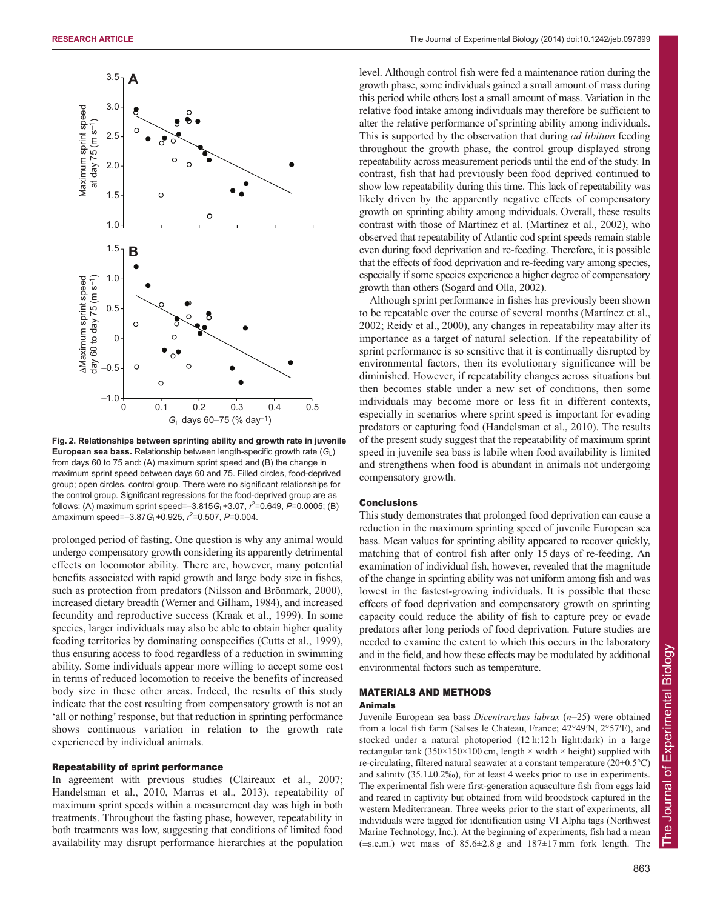

**Fig. 2. Relationships between sprinting ability and growth rate in juvenile European sea bass.** Relationship between length-specific growth rate (*G*L) from days 60 to 75 and: (A) maximum sprint speed and (B) the change in maximum sprint speed between days 60 and 75. Filled circles, food-deprived group; open circles, control group. There were no significant relationships for the control group. Significant regressions for the food-deprived group are as follows: (A) maximum sprint speed=–3.815*G*L+3.07, *r* 2 =0.649, *P*=0.0005; (B) ∆maximum speed=–3.87*G*L+0.925, *r* 2 =0.507, *P*=0.004.

prolonged period of fasting. One question is why any animal would undergo compensatory growth considering its apparently detrimental effects on locomotor ability. There are, however, many potential benefits associated with rapid growth and large body size in fishes, such as protection from predators (Nilsson and Brönmark, 2000), increased dietary breadth (Werner and Gilliam, 1984), and increased fecundity and reproductive success (Kraak et al., 1999). In some species, larger individuals may also be able to obtain higher quality feeding territories by dominating conspecifics (Cutts et al., 1999), thus ensuring access to food regardless of a reduction in swimming ability. Some individuals appear more willing to accept some cost in terms of reduced locomotion to receive the benefits of increased body size in these other areas. Indeed, the results of this study indicate that the cost resulting from compensatory growth is not an 'all or nothing' response, but that reduction in sprinting performance shows continuous variation in relation to the growth rate experienced by individual animals.

## Repeatability of sprint performance

In agreement with previous studies (Claireaux et al., 2007; Handelsman et al., 2010, Marras et al., 2013), repeatability of maximum sprint speeds within a measurement day was high in both treatments. Throughout the fasting phase, however, repeatability in both treatments was low, suggesting that conditions of limited food availability may disrupt performance hierarchies at the population level. Although control fish were fed a maintenance ration during the growth phase, some individuals gained a small amount of mass during this period while others lost a small amount of mass. Variation in the relative food intake among individuals may therefore be sufficient to alter the relative performance of sprinting ability among individuals. This is supported by the observation that during *ad libitum* feeding throughout the growth phase, the control group displayed strong repeatability across measurement periods until the end of the study. In contrast, fish that had previously been food deprived continued to show low repeatability during this time. This lack of repeatability was likely driven by the apparently negative effects of compensatory growth on sprinting ability among individuals. Overall, these results contrast with those of Martínez et al. (Martínez et al., 2002), who observed that repeatability of Atlantic cod sprint speeds remain stable even during food deprivation and re-feeding. Therefore, it is possible that the effects of food deprivation and re-feeding vary among species, especially if some species experience a higher degree of compensatory growth than others (Sogard and Olla, 2002).

Although sprint performance in fishes has previously been shown to be repeatable over the course of several months (Martínez et al., 2002; Reidy et al., 2000), any changes in repeatability may alter its importance as a target of natural selection. If the repeatability of sprint performance is so sensitive that it is continually disrupted by environmental factors, then its evolutionary significance will be diminished. However, if repeatability changes across situations but then becomes stable under a new set of conditions, then some individuals may become more or less fit in different contexts, especially in scenarios where sprint speed is important for evading predators or capturing food (Handelsman et al., 2010). The results of the present study suggest that the repeatability of maximum sprint speed in juvenile sea bass is labile when food availability is limited and strengthens when food is abundant in animals not undergoing compensatory growth.

#### **Conclusions**

This study demonstrates that prolonged food deprivation can cause a reduction in the maximum sprinting speed of juvenile European sea bass. Mean values for sprinting ability appeared to recover quickly, matching that of control fish after only 15 days of re-feeding. An examination of individual fish, however, revealed that the magnitude of the change in sprinting ability was not uniform among fish and was lowest in the fastest-growing individuals. It is possible that these effects of food deprivation and compensatory growth on sprinting capacity could reduce the ability of fish to capture prey or evade predators after long periods of food deprivation. Future studies are needed to examine the extent to which this occurs in the laboratory and in the field, and how these effects may be modulated by additional environmental factors such as temperature.

## MATERIALS AND METHODS Animals

Juvenile European sea bass *Dicentrarchus labrax* (*n*=25) were obtained from a local fish farm (Salses le Chateau, France; 42°49′N, 2°57′E), and stocked under a natural photoperiod (12 h:12 h light:dark) in a large rectangular tank (350×150×100 cm, length  $\times$  width  $\times$  height) supplied with re-circulating, filtered natural seawater at a constant temperature (20±0.5°C) and salinity (35.1±0.2‰), for at least 4 weeks prior to use in experiments. The experimental fish were first-generation aquaculture fish from eggs laid and reared in captivity but obtained from wild broodstock captured in the western Mediterranean. Three weeks prior to the start of experiments, all individuals were tagged for identification using VI Alpha tags (Northwest Marine Technology, Inc.). At the beginning of experiments, fish had a mean  $(\pm s.e.m.)$  wet mass of  $85.6\pm 2.8$  g and  $187\pm 17$  mm fork length. The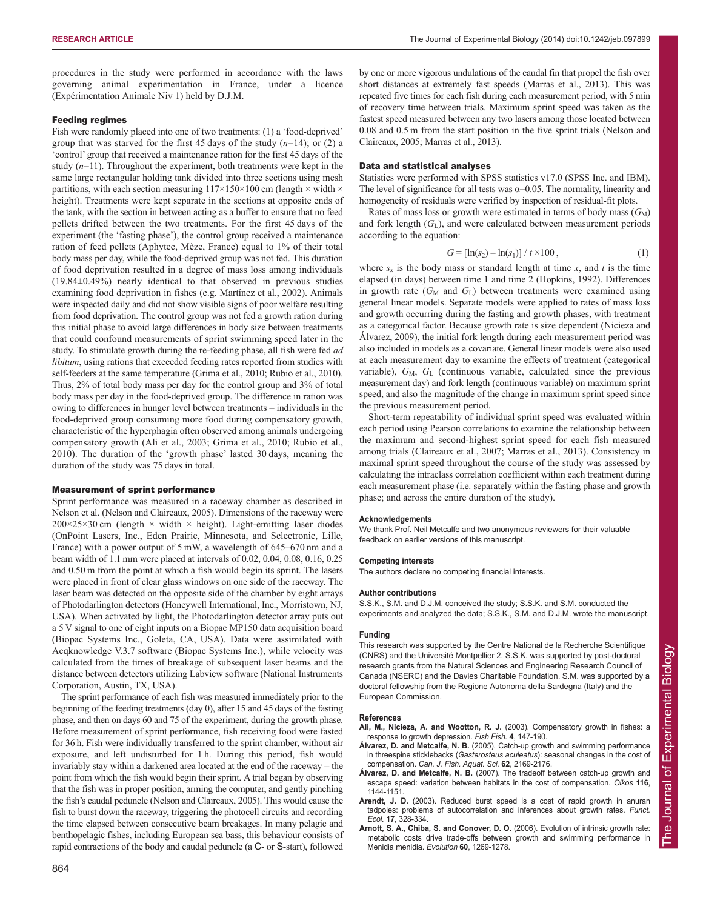procedures in the study were performed in accordance with the laws governing animal experimentation in France, under a licence (Expérimentation Animale Niv 1) held by D.J.M.

#### Feeding regimes

Fish were randomly placed into one of two treatments: (1) a 'food-deprived' group that was starved for the first 45 days of the study (*n*=14); or (2) a 'control' group that received a maintenance ration for the first 45 days of the study (*n*=11). Throughout the experiment, both treatments were kept in the same large rectangular holding tank divided into three sections using mesh partitions, with each section measuring  $117\times150\times100$  cm (length  $\times$  width  $\times$ height). Treatments were kept separate in the sections at opposite ends of the tank, with the section in between acting as a buffer to ensure that no feed pellets drifted between the two treatments. For the first 45 days of the experiment (the 'fasting phase'), the control group received a maintenance ration of feed pellets (Aphytec, Mèze, France) equal to 1% of their total body mass per day, while the food-deprived group was not fed. This duration of food deprivation resulted in a degree of mass loss among individuals (19.84±0.49%) nearly identical to that observed in previous studies examining food deprivation in fishes (e.g. Martínez et al., 2002). Animals were inspected daily and did not show visible signs of poor welfare resulting from food deprivation. The control group was not fed a growth ration during this initial phase to avoid large differences in body size between treatments that could confound measurements of sprint swimming speed later in the study. To stimulate growth during the re-feeding phase, all fish were fed *ad libitum*, using rations that exceeded feeding rates reported from studies with self-feeders at the same temperature (Grima et al., 2010; Rubio et al., 2010). Thus, 2% of total body mass per day for the control group and 3% of total body mass per day in the food-deprived group. The difference in ration was owing to differences in hunger level between treatments – individuals in the food-deprived group consuming more food during compensatory growth, characteristic of the hyperphagia often observed among animals undergoing compensatory growth (Ali et al., 2003; Grima et al., 2010; Rubio et al., 2010). The duration of the 'growth phase' lasted 30 days, meaning the duration of the study was 75 days in total.

#### Measurement of sprint performance

Sprint performance was measured in a raceway chamber as described in Nelson et al. (Nelson and Claireaux, 2005). Dimensions of the raceway were  $200 \times 25 \times 30$  cm (length  $\times$  width  $\times$  height). Light-emitting laser diodes (OnPoint Lasers, Inc., Eden Prairie, Minnesota, and Selectronic, Lille, France) with a power output of 5 mW, a wavelength of 645–670 nm and a beam width of 1.1 mm were placed at intervals of 0.02, 0.04, 0.08, 0.16, 0.25 and 0.50 m from the point at which a fish would begin its sprint. The lasers were placed in front of clear glass windows on one side of the raceway. The laser beam was detected on the opposite side of the chamber by eight arrays of Photodarlington detectors (Honeywell International, Inc., Morristown, NJ, USA). When activated by light, the Photodarlington detector array puts out a 5 V signal to one of eight inputs on a Biopac MP150 data acquisition board (Biopac Systems Inc., Goleta, CA, USA). Data were assimilated with Acqknowledge V.3.7 software (Biopac Systems Inc.), while velocity was calculated from the times of breakage of subsequent laser beams and the distance between detectors utilizing Labview software (National Instruments Corporation, Austin, TX, USA).

The sprint performance of each fish was measured immediately prior to the beginning of the feeding treatments (day 0), after 15 and 45 days of the fasting phase, and then on days 60 and 75 of the experiment, during the growth phase. Before measurement of sprint performance, fish receiving food were fasted for 36 h. Fish were individually transferred to the sprint chamber, without air exposure, and left undisturbed for 1 h. During this period, fish would invariably stay within a darkened area located at the end of the raceway – the point from which the fish would begin their sprint. A trial began by observing that the fish was in proper position, arming the computer, and gently pinching the fish's caudal peduncle (Nelson and Claireaux, 2005). This would cause the fish to burst down the raceway, triggering the photocell circuits and recording the time elapsed between consecutive beam breakages. In many pelagic and benthopelagic fishes, including European sea bass, this behaviour consists of rapid contractions of the body and caudal peduncle (a C- or S-start), followed by one or more vigorous undulations of the caudal fin that propel the fish over short distances at extremely fast speeds (Marras et al., 2013). This was repeated five times for each fish during each measurement period, with 5 min of recovery time between trials. Maximum sprint speed was taken as the fastest speed measured between any two lasers among those located between 0.08 and 0.5 m from the start position in the five sprint trials (Nelson and Claireaux, 2005; Marras et al., 2013).

## Data and statistical analyses

Statistics were performed with SPSS statistics v17.0 (SPSS Inc. and IBM). The level of significance for all tests was  $\alpha$ =0.05. The normality, linearity and homogeneity of residuals were verified by inspection of residual-fit plots.

Rates of mass loss or growth were estimated in terms of body mass  $(G<sub>M</sub>)$ and fork length  $(G_L)$ , and were calculated between measurement periods according to the equation:

$$
G = [\ln(s_2) - \ln(s_1)] / t \times 100,
$$
 (1)

where  $s_x$  is the body mass or standard length at time  $x$ , and  $t$  is the time elapsed (in days) between time 1 and time 2 (Hopkins, 1992). Differences in growth rate  $(G_M$  and  $G_L$ ) between treatments were examined using general linear models. Separate models were applied to rates of mass loss and growth occurring during the fasting and growth phases, with treatment as a categorical factor. Because growth rate is size dependent (Nicieza and Álvarez, 2009), the initial fork length during each measurement period was also included in models as a covariate. General linear models were also used at each measurement day to examine the effects of treatment (categorical variable),  $G_M$ ,  $G_L$  (continuous variable, calculated since the previous measurement day) and fork length (continuous variable) on maximum sprint speed, and also the magnitude of the change in maximum sprint speed since the previous measurement period.

Short-term repeatability of individual sprint speed was evaluated within each period using Pearson correlations to examine the relationship between the maximum and second-highest sprint speed for each fish measured among trials (Claireaux et al., 2007; Marras et al., 2013). Consistency in maximal sprint speed throughout the course of the study was assessed by calculating the intraclass correlation coefficient within each treatment during each measurement phase (i.e. separately within the fasting phase and growth phase; and across the entire duration of the study).

#### **Acknowledgements**

We thank Prof. Neil Metcalfe and two anonymous reviewers for their valuable feedback on earlier versions of this manuscript.

#### **Competing interests**

The authors declare no competing financial interests.

#### **Author contributions**

S.S.K., S.M. and D.J.M. conceived the study; S.S.K. and S.M. conducted the experiments and analyzed the data; S.S.K., S.M. and D.J.M. wrote the manuscript.

#### **Funding**

This research was supported by the Centre National de la Recherche Scientifique (CNRS) and the Université Montpellier 2. S.S.K. was supported by post-doctoral research grants from the Natural Sciences and Engineering Research Council of Canada (NSERC) and the Davies Charitable Foundation. S.M. was supported by a doctoral fellowship from the Regione Autonoma della Sardegna (Italy) and the European Commission.

#### **References**

- **Ali, M., Nicieza, A. and Wootton, R. J.** (2003). Compensatory growth in fishes: a response to growth depression. *Fish Fish.* **4**, 147-190.
- **Álvarez, D. and Metcalfe, N. B.** (2005). Catch-up growth and swimming performance in threespine sticklebacks (*Gasterosteus aculeatus*): seasonal changes in the cost of compensation. *Can. J. Fish. Aquat. Sci.* **62**, 2169-2176.
- **Álvarez, D. and Metcalfe, N. B.** (2007). The tradeoff between catch-up growth and escape speed: variation between habitats in the cost of compensation. *Oikos* **116**, 1144-1151.
- **Arendt, J. D.** (2003). Reduced burst speed is a cost of rapid growth in anuran tadpoles: problems of autocorrelation and inferences about growth rates. *Funct. Ecol.* **17**, 328-334.
- **Arnott, S. A., Chiba, S. and Conover, D. O.** (2006). Evolution of intrinsic growth rate: metabolic costs drive trade-offs between growth and swimming performance in Menidia menidia. *Evolution* **60**, 1269-1278.